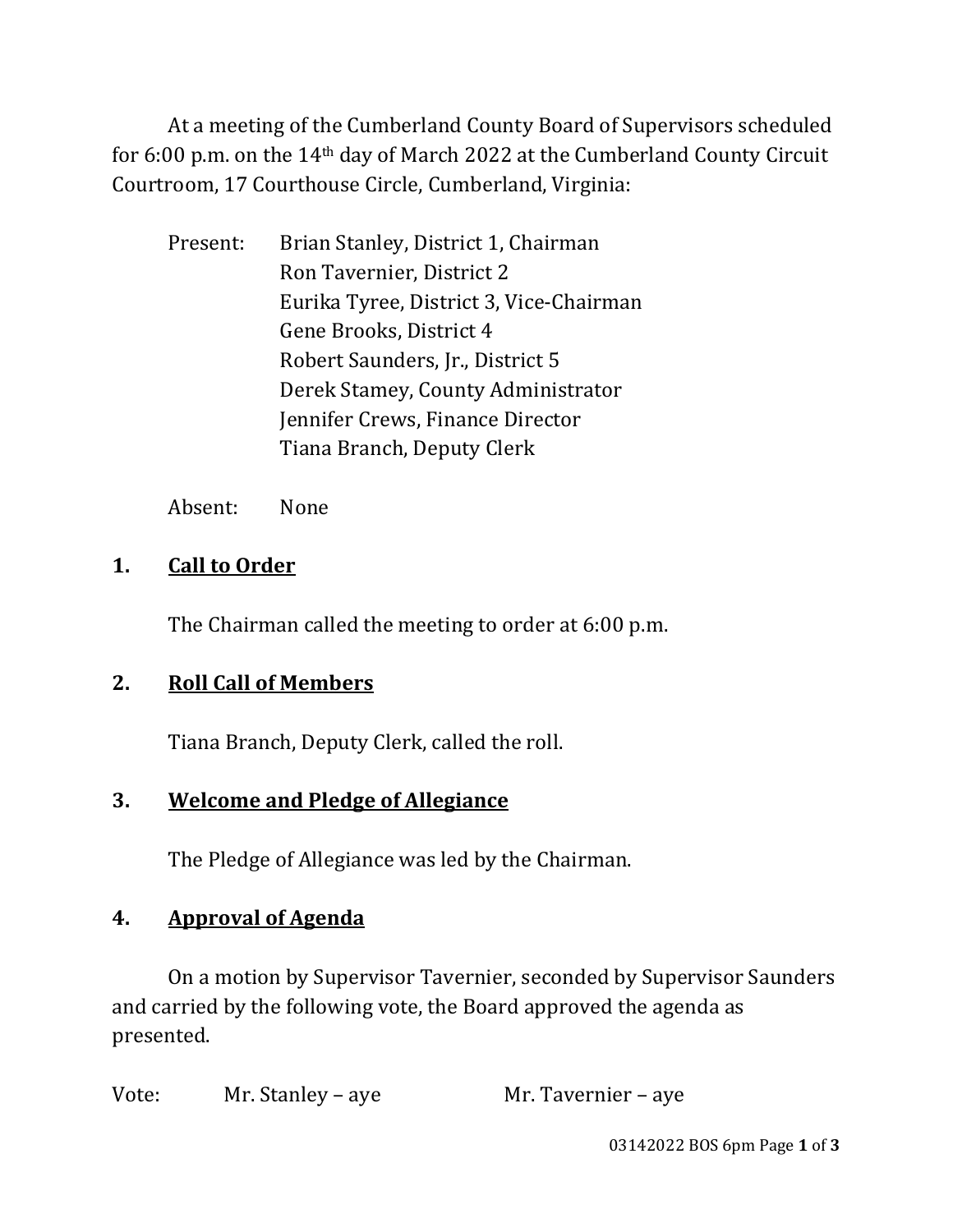At a meeting of the Cumberland County Board of Supervisors scheduled for 6:00 p.m. on the 14th day of March 2022 at the Cumberland County Circuit Courtroom, 17 Courthouse Circle, Cumberland, Virginia:

 Present: Brian Stanley, District 1, Chairman Ron Tavernier, District 2 Eurika Tyree, District 3, Vice-Chairman Gene Brooks, District 4 Robert Saunders, Jr., District 5 Derek Stamey, County Administrator Jennifer Crews, Finance Director Tiana Branch, Deputy Clerk

Absent: None

#### **1. Call to Order**

The Chairman called the meeting to order at 6:00 p.m.

# **2. Roll Call of Members**

Tiana Branch, Deputy Clerk, called the roll.

# **3. Welcome and Pledge of Allegiance**

The Pledge of Allegiance was led by the Chairman.

# **4. Approval of Agenda**

On a motion by Supervisor Tavernier, seconded by Supervisor Saunders and carried by the following vote, the Board approved the agenda as presented.

| Vote: | Mr. Stanley – aye | Mr. Tavernier – aye |
|-------|-------------------|---------------------|
|-------|-------------------|---------------------|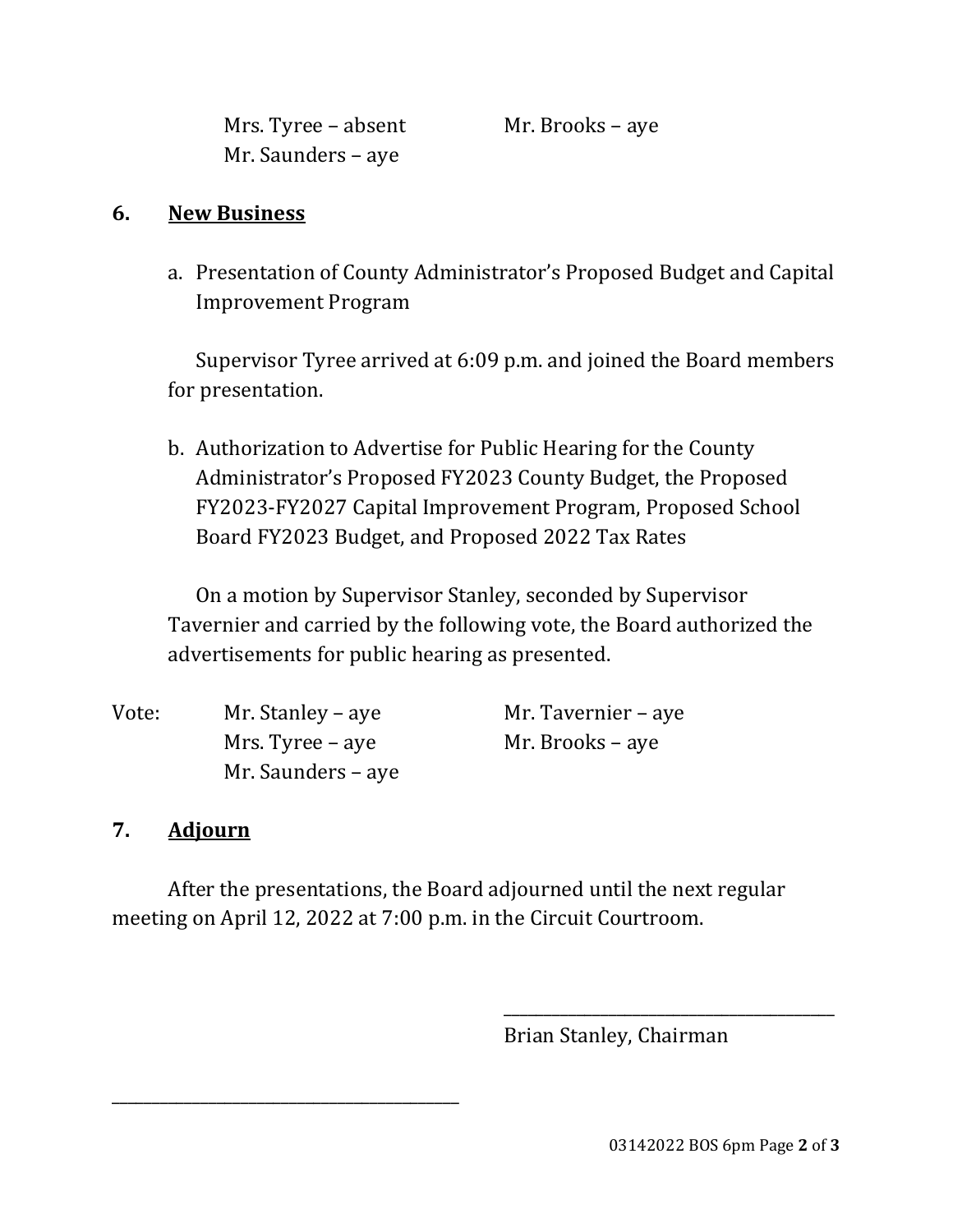Mrs. Tyree – absent Mr. Brooks – aye Mr. Saunders – aye

#### **6. New Business**

a. Presentation of County Administrator's Proposed Budget and Capital Improvement Program

Supervisor Tyree arrived at 6:09 p.m. and joined the Board members for presentation.

b. Authorization to Advertise for Public Hearing for the County Administrator's Proposed FY2023 County Budget, the Proposed FY2023-FY2027 Capital Improvement Program, Proposed School Board FY2023 Budget, and Proposed 2022 Tax Rates

On a motion by Supervisor Stanley, seconded by Supervisor Tavernier and carried by the following vote, the Board authorized the advertisements for public hearing as presented.

| Vote: | Mr. Stanley – aye  | Mr. Tavernier – aye |
|-------|--------------------|---------------------|
|       | Mrs. Tyree – aye   | Mr. Brooks – aye    |
|       | Mr. Saunders – aye |                     |

#### **7. Adjourn**

\_\_\_\_\_\_\_\_\_\_\_\_\_\_\_\_\_\_\_\_\_\_\_\_\_\_\_\_\_\_\_\_\_\_\_\_\_\_\_\_\_\_\_

After the presentations, the Board adjourned until the next regular meeting on April 12, 2022 at 7:00 p.m. in the Circuit Courtroom.

 $\overline{\phantom{a}}$  , and the contract of the contract of the contract of the contract of the contract of the contract of the contract of the contract of the contract of the contract of the contract of the contract of the contrac

Brian Stanley, Chairman